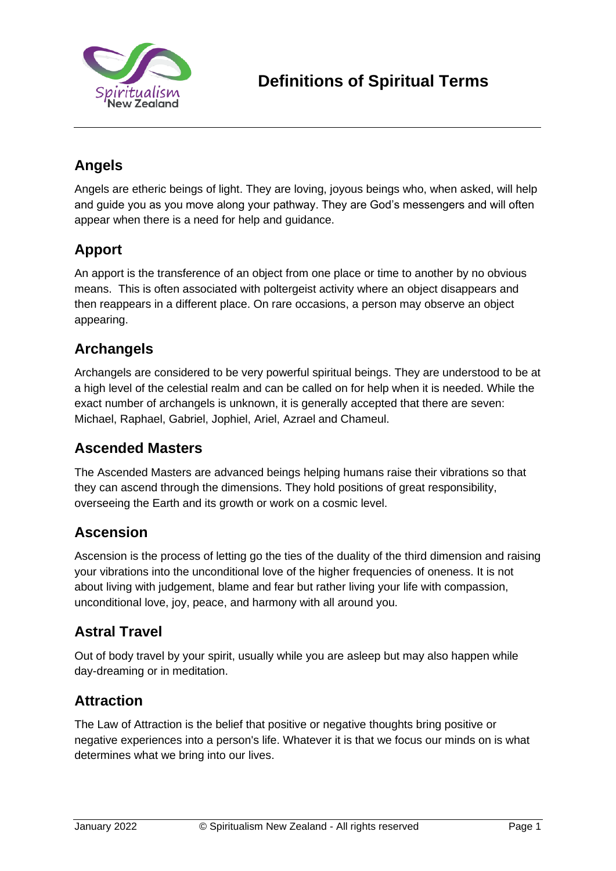

# **Angels**

Angels are etheric beings of light. They are loving, joyous beings who, when asked, will help and guide you as you move along your pathway. They are God's messengers and will often appear when there is a need for help and guidance.

# **Apport**

An apport is the transference of an object from one place or time to another by no obvious means. This is often associated with poltergeist activity where an object disappears and then reappears in a different place. On rare occasions, a person may observe an object appearing.

# **Archangels**

Archangels are considered to be very powerful spiritual beings. They are understood to be at a high level of the celestial realm and can be called on for help when it is needed. While the exact number of archangels is unknown, it is generally accepted that there are seven: Michael, Raphael, Gabriel, Jophiel, Ariel, Azrael and Chameul.

### **Ascended Masters**

The Ascended Masters are advanced beings helping humans raise their vibrations so that they can ascend through the dimensions. They hold positions of great responsibility, overseeing the Earth and its growth or work on a cosmic level.

### **Ascension**

Ascension is the process of letting go the ties of the duality of the third dimension and raising your vibrations into the unconditional love of the higher frequencies of oneness. It is not about living with judgement, blame and fear but rather living your life with compassion, unconditional love, joy, peace, and harmony with all around you.

## **Astral Travel**

Out of body travel by your spirit, usually while you are asleep but may also happen while day-dreaming or in meditation.

## **Attraction**

The Law of Attraction is the belief that positive or negative thoughts bring positive or negative experiences into a person's life. Whatever it is that we focus our minds on is what determines what we bring into our lives.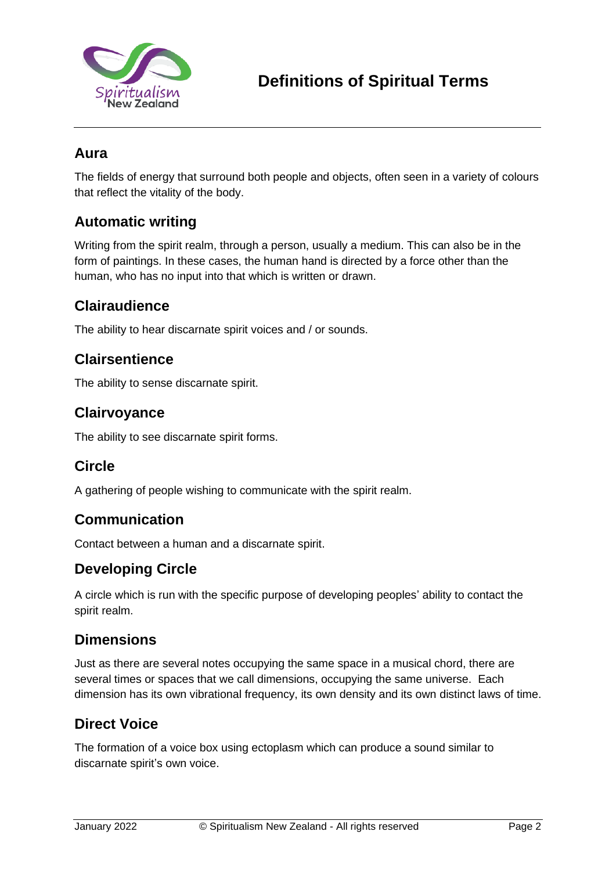

### **Aura**

The fields of energy that surround both people and objects, often seen in a variety of colours that reflect the vitality of the body.

### **Automatic writing**

Writing from the spirit realm, through a person, usually a medium. This can also be in the form of paintings. In these cases, the human hand is directed by a force other than the human, who has no input into that which is written or drawn.

### **Clairaudience**

The ability to hear discarnate spirit voices and / or sounds.

### **Clairsentience**

The ability to sense discarnate spirit.

### **Clairvoyance**

The ability to see discarnate spirit forms.

## **Circle**

A gathering of people wishing to communicate with the spirit realm.

### **Communication**

Contact between a human and a discarnate spirit.

### **Developing Circle**

A circle which is run with the specific purpose of developing peoples' ability to contact the spirit realm.

### **Dimensions**

Just as there are several notes occupying the same space in a musical chord, there are several times or spaces that we call dimensions, occupying the same universe. Each dimension has its own vibrational frequency, its own density and its own distinct laws of time.

### **Direct Voice**

The formation of a voice box using ectoplasm which can produce a sound similar to discarnate spirit's own voice.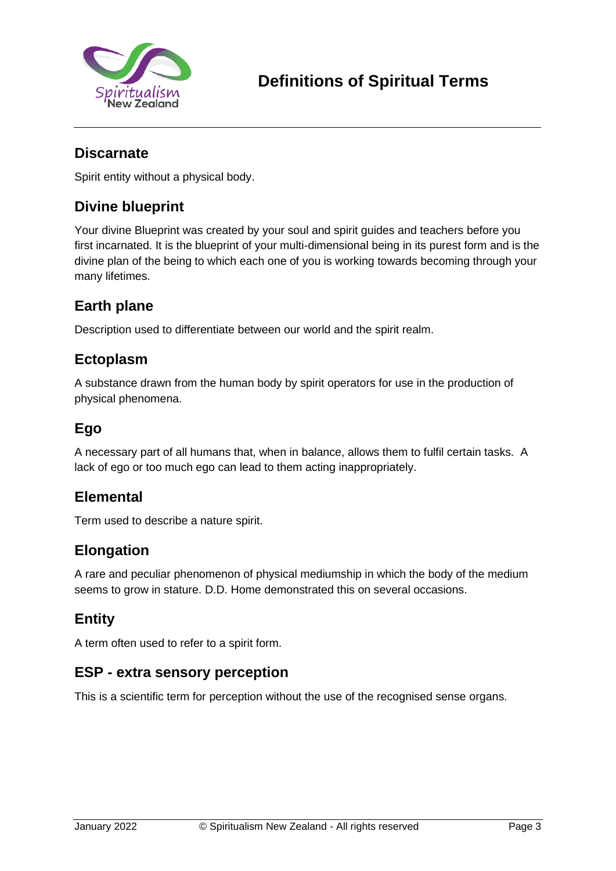

### **Discarnate**

Spirit entity without a physical body.

# **Divine blueprint**

Your divine Blueprint was created by your soul and spirit guides and teachers before you first incarnated. It is the blueprint of your multi-dimensional being in its purest form and is the divine plan of the being to which each one of you is working towards becoming through your many lifetimes.

### **Earth plane**

Description used to differentiate between our world and the spirit realm.

#### **Ectoplasm**

A substance drawn from the human body by spirit operators for use in the production of physical phenomena.

### **Ego**

A necessary part of all humans that, when in balance, allows them to fulfil certain tasks. A lack of ego or too much ego can lead to them acting inappropriately.

### **Elemental**

Term used to describe a nature spirit.

### **Elongation**

A rare and peculiar phenomenon of physical mediumship in which the body of the medium seems to grow in stature. D.D. Home demonstrated this on several occasions.

### **Entity**

A term often used to refer to a spirit form.

### **ESP - extra sensory perception**

This is a scientific term for perception without the use of the recognised sense organs.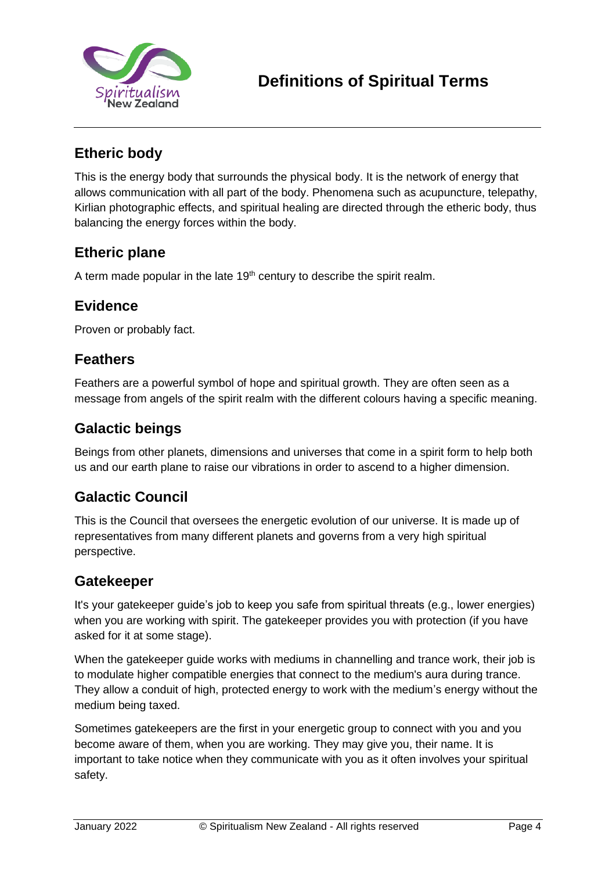

## **Etheric body**

This is the energy body that surrounds the physical body. It is the network of energy that allows communication with all part of the body. Phenomena such as acupuncture, telepathy, Kirlian photographic effects, and spiritual healing are directed through the etheric body, thus balancing the energy forces within the body.

### **Etheric plane**

A term made popular in the late  $19<sup>th</sup>$  century to describe the spirit realm.

### **Evidence**

Proven or probably fact.

#### **Feathers**

Feathers are a powerful symbol of hope and spiritual growth. They are often seen as a message from angels of the spirit realm with the different colours having a specific meaning.

### **Galactic beings**

Beings from other planets, dimensions and universes that come in a spirit form to help both us and our earth plane to raise our vibrations in order to ascend to a higher dimension.

## **Galactic Council**

This is the Council that oversees the energetic evolution of our universe. It is made up of representatives from many different planets and governs from a very high spiritual perspective.

#### **Gatekeeper**

It's your gatekeeper guide's job to keep you safe from spiritual threats (e.g., lower energies) when you are working with spirit. The gatekeeper provides you with protection (if you have asked for it at some stage).

When the gatekeeper guide works with mediums in channelling and trance work, their job is to modulate higher compatible energies that connect to the medium's aura during trance. They allow a conduit of high, protected energy to work with the medium's energy without the medium being taxed.

Sometimes gatekeepers are the first in your energetic group to connect with you and you become aware of them, when you are working. They may give you, their name. It is important to take notice when they communicate with you as it often involves your spiritual safety.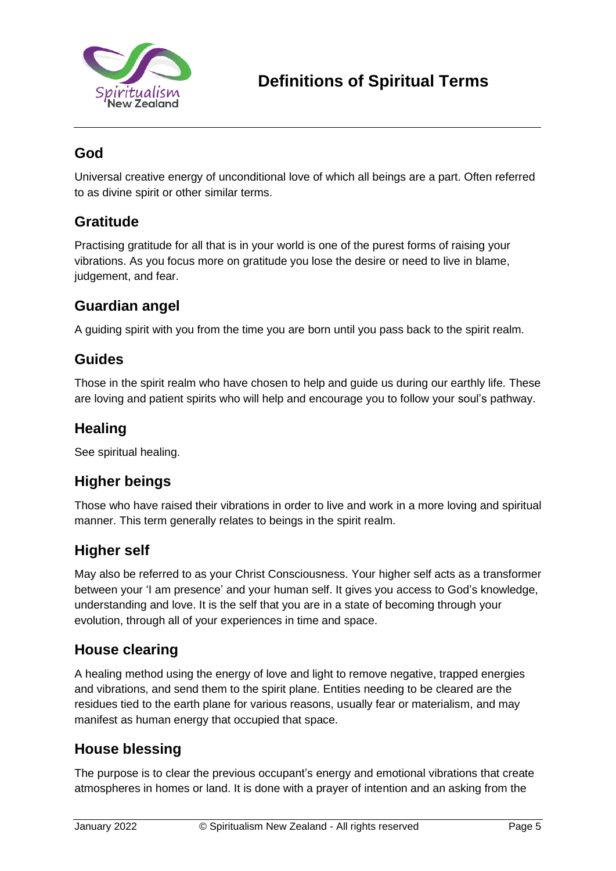

## **God**

Universal creative energy of unconditional love of which all beings are a part. Often referred to as divine spirit or other similar terms.

### **Gratitude**

Practising gratitude for all that is in your world is one of the purest forms of raising your vibrations. As you focus more on gratitude you lose the desire or need to live in blame, judgement, and fear.

### **Guardian angel**

A guiding spirit with you from the time you are born until you pass back to the spirit realm.

### **Guides**

Those in the spirit realm who have chosen to help and guide us during our earthly life. These are loving and patient spirits who will help and encourage you to follow your soul's pathway.

### **Healing**

See spiritual healing.

## **Higher beings**

Those who have raised their vibrations in order to live and work in a more loving and spiritual manner. This term generally relates to beings in the spirit realm.

### **Higher self**

May also be referred to as your Christ Consciousness. Your higher self acts as a transformer between your 'I am presence' and your human self. It gives you access to God's knowledge, understanding and love. It is the self that you are in a state of becoming through your evolution, through all of your experiences in time and space.

### **House clearing**

A healing method using the energy of love and light to remove negative, trapped energies and vibrations, and send them to the spirit plane. Entities needing to be cleared are the residues tied to the earth plane for various reasons, usually fear or materialism, and may manifest as human energy that occupied that space.

## **House blessing**

The purpose is to clear the previous occupant's energy and emotional vibrations that create atmospheres in homes or land. It is done with a prayer of intention and an asking from the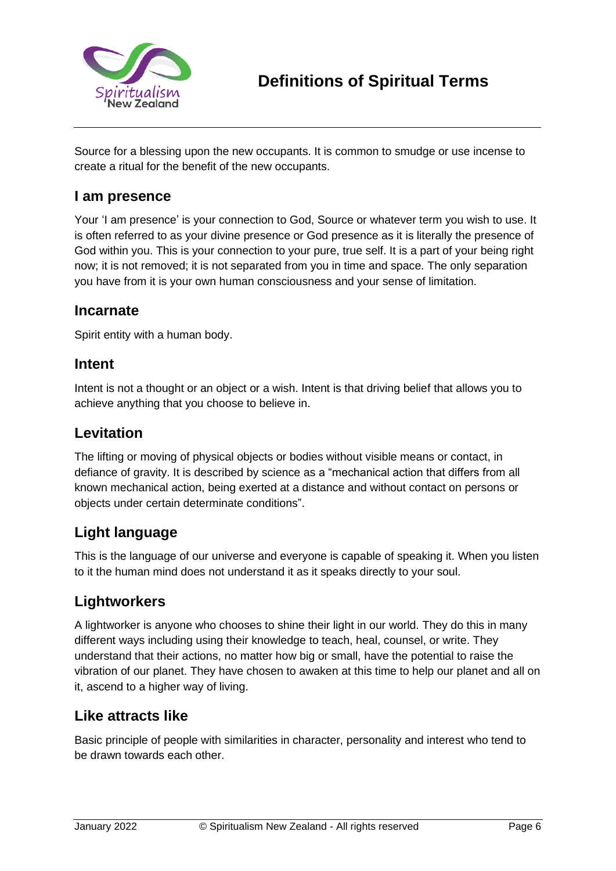

Source for a blessing upon the new occupants. It is common to smudge or use incense to create a ritual for the benefit of the new occupants.

### **I am presence**

Your 'I am presence' is your connection to God, Source or whatever term you wish to use. It is often referred to as your divine presence or God presence as it is literally the presence of God within you. This is your connection to your pure, true self. It is a part of your being right now; it is not removed; it is not separated from you in time and space. The only separation you have from it is your own human consciousness and your sense of limitation.

### **Incarnate**

Spirit entity with a human body.

#### **Intent**

Intent is not a thought or an object or a wish. Intent is that driving belief that allows you to achieve anything that you choose to believe in.

### **Levitation**

The lifting or moving of physical objects or bodies without visible means or contact, in defiance of gravity. It is described by science as a "mechanical action that differs from all known mechanical action, being exerted at a distance and without contact on persons or objects under certain determinate conditions".

# **Light language**

This is the language of our universe and everyone is capable of speaking it. When you listen to it the human mind does not understand it as it speaks directly to your soul.

# **Lightworkers**

A lightworker is anyone who chooses to shine their light in our world. They do this in many different ways including using their knowledge to teach, heal, counsel, or write. They understand that their actions, no matter how big or small, have the potential to raise the vibration of our planet. They have chosen to awaken at this time to help our planet and all on it, ascend to a higher way of living.

## **Like attracts like**

Basic principle of people with similarities in character, personality and interest who tend to be drawn towards each other.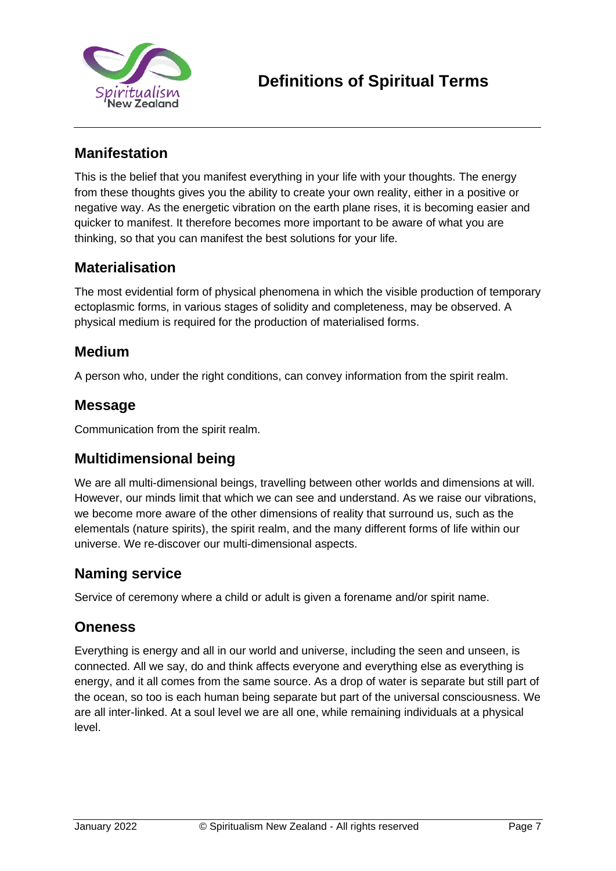

## **Manifestation**

This is the belief that you manifest everything in your life with your thoughts. The energy from these thoughts gives you the ability to create your own reality, either in a positive or negative way. As the energetic vibration on the earth plane rises, it is becoming easier and quicker to manifest. It therefore becomes more important to be aware of what you are thinking, so that you can manifest the best solutions for your life.

### **Materialisation**

The most evidential form of physical phenomena in which the visible production of temporary ectoplasmic forms, in various stages of solidity and completeness, may be observed. A physical medium is required for the production of materialised forms.

#### **Medium**

A person who, under the right conditions, can convey information from the spirit realm.

#### **Message**

Communication from the spirit realm.

### **Multidimensional being**

We are all multi-dimensional beings, travelling between other worlds and dimensions at will. However, our minds limit that which we can see and understand. As we raise our vibrations, we become more aware of the other dimensions of reality that surround us, such as the elementals (nature spirits), the spirit realm, and the many different forms of life within our universe. We re-discover our multi-dimensional aspects.

### **Naming service**

Service of ceremony where a child or adult is given a forename and/or spirit name.

#### **Oneness**

Everything is energy and all in our world and universe, including the seen and unseen, is connected. All we say, do and think affects everyone and everything else as everything is energy, and it all comes from the same source. As a drop of water is separate but still part of the ocean, so too is each human being separate but part of the universal consciousness. We are all inter-linked. At a soul level we are all one, while remaining individuals at a physical level.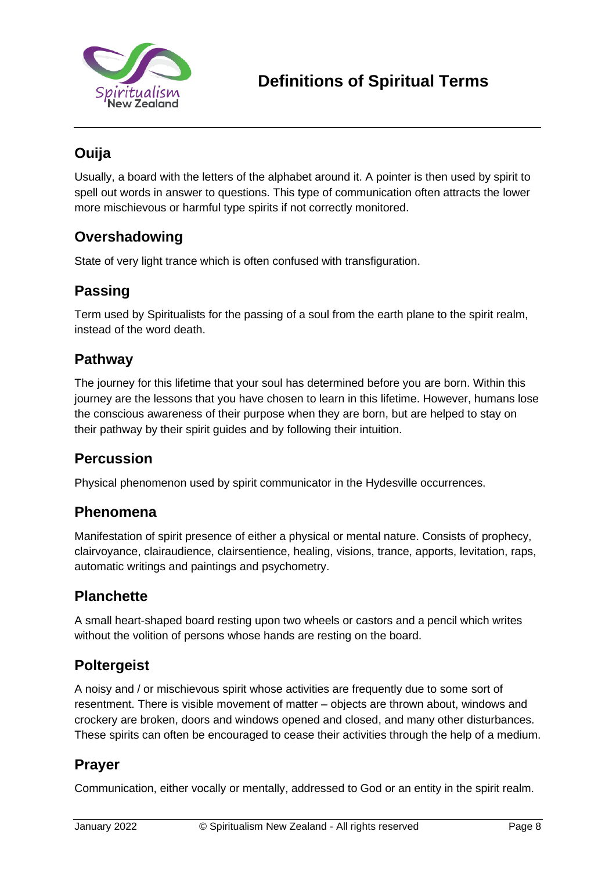

# **Ouija**

Usually, a board with the letters of the alphabet around it. A pointer is then used by spirit to spell out words in answer to questions. This type of communication often attracts the lower more mischievous or harmful type spirits if not correctly monitored.

### **Overshadowing**

State of very light trance which is often confused with transfiguration.

## **Passing**

Term used by Spiritualists for the passing of a soul from the earth plane to the spirit realm, instead of the word death.

### **Pathway**

The journey for this lifetime that your soul has determined before you are born. Within this journey are the lessons that you have chosen to learn in this lifetime. However, humans lose the conscious awareness of their purpose when they are born, but are helped to stay on their pathway by their spirit guides and by following their intuition.

### **Percussion**

Physical phenomenon used by spirit communicator in the Hydesville occurrences.

#### **Phenomena**

Manifestation of spirit presence of either a physical or mental nature. Consists of prophecy, clairvoyance, clairaudience, clairsentience, healing, visions, trance, apports, levitation, raps, automatic writings and paintings and psychometry.

### **Planchette**

A small heart-shaped board resting upon two wheels or castors and a pencil which writes without the volition of persons whose hands are resting on the board.

### **Poltergeist**

A noisy and / or mischievous spirit whose activities are frequently due to some sort of resentment. There is visible movement of matter – objects are thrown about, windows and crockery are broken, doors and windows opened and closed, and many other disturbances. These spirits can often be encouraged to cease their activities through the help of a medium.

### **Prayer**

Communication, either vocally or mentally, addressed to God or an entity in the spirit realm.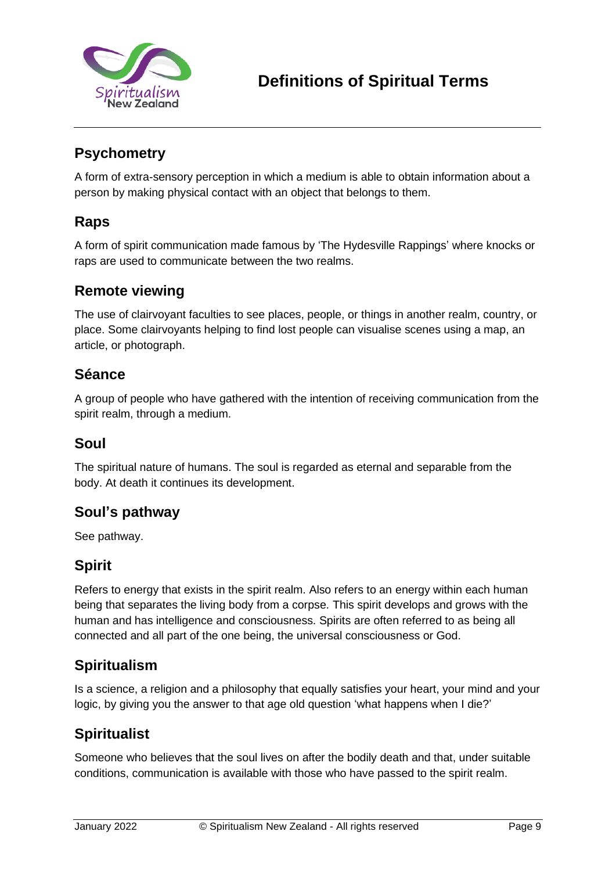

# **Psychometry**

A form of extra-sensory perception in which a medium is able to obtain information about a person by making physical contact with an object that belongs to them.

### **Raps**

A form of spirit communication made famous by 'The Hydesville Rappings' where knocks or raps are used to communicate between the two realms.

#### **Remote viewing**

The use of clairvoyant faculties to see places, people, or things in another realm, country, or place. Some clairvoyants helping to find lost people can visualise scenes using a map, an article, or photograph.

#### **Séance**

A group of people who have gathered with the intention of receiving communication from the spirit realm, through a medium.

#### **Soul**

The spiritual nature of humans. The soul is regarded as eternal and separable from the body. At death it continues its development.

### **Soul's pathway**

See pathway.

### **Spirit**

Refers to energy that exists in the spirit realm. Also refers to an energy within each human being that separates the living body from a corpse. This spirit develops and grows with the human and has intelligence and consciousness. Spirits are often referred to as being all connected and all part of the one being, the universal consciousness or God.

### **Spiritualism**

Is a science, a religion and a philosophy that equally satisfies your heart, your mind and your logic, by giving you the answer to that age old question 'what happens when I die?'

## **Spiritualist**

Someone who believes that the soul lives on after the bodily death and that, under suitable conditions, communication is available with those who have passed to the spirit realm.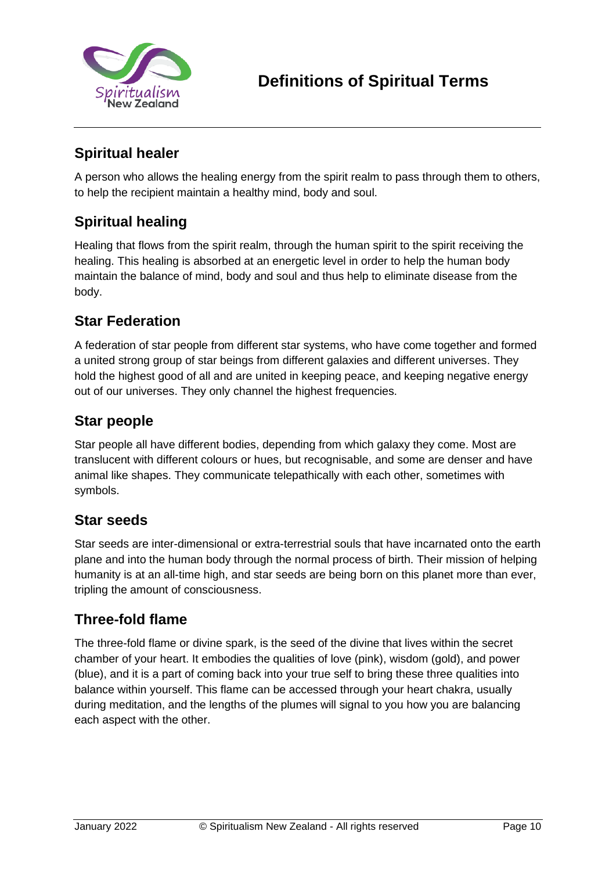

# **Spiritual healer**

A person who allows the healing energy from the spirit realm to pass through them to others, to help the recipient maintain a healthy mind, body and soul.

# **Spiritual healing**

Healing that flows from the spirit realm, through the human spirit to the spirit receiving the healing. This healing is absorbed at an energetic level in order to help the human body maintain the balance of mind, body and soul and thus help to eliminate disease from the body.

## **Star Federation**

A federation of star people from different star systems, who have come together and formed a united strong group of star beings from different galaxies and different universes. They hold the highest good of all and are united in keeping peace, and keeping negative energy out of our universes. They only channel the highest frequencies.

## **Star people**

Star people all have different bodies, depending from which galaxy they come. Most are translucent with different colours or hues, but recognisable, and some are denser and have animal like shapes. They communicate telepathically with each other, sometimes with symbols.

## **Star seeds**

Star seeds are inter-dimensional or extra-terrestrial souls that have incarnated onto the earth plane and into the human body through the normal process of birth. Their mission of helping humanity is at an all-time high, and star seeds are being born on this planet more than ever, tripling the amount of consciousness.

## **Three-fold flame**

The three-fold flame or divine spark, is the seed of the divine that lives within the secret chamber of your heart. It embodies the qualities of love (pink), wisdom (gold), and power (blue), and it is a part of coming back into your true self to bring these three qualities into balance within yourself. This flame can be accessed through your heart chakra, usually during meditation, and the lengths of the plumes will signal to you how you are balancing each aspect with the other.